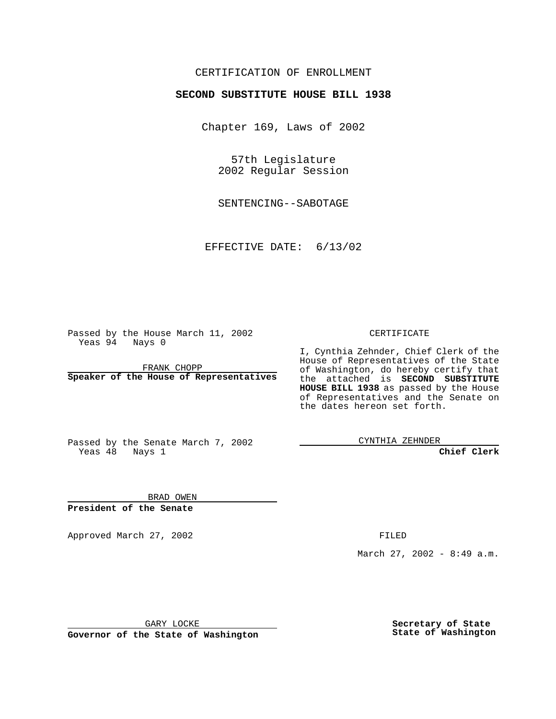## CERTIFICATION OF ENROLLMENT

# **SECOND SUBSTITUTE HOUSE BILL 1938**

Chapter 169, Laws of 2002

57th Legislature 2002 Regular Session

SENTENCING--SABOTAGE

EFFECTIVE DATE: 6/13/02

Passed by the House March 11, 2002 Yeas 94 Nays 0

FRANK CHOPP **Speaker of the House of Representatives** CERTIFICATE

I, Cynthia Zehnder, Chief Clerk of the House of Representatives of the State of Washington, do hereby certify that the attached is **SECOND SUBSTITUTE HOUSE BILL 1938** as passed by the House of Representatives and the Senate on the dates hereon set forth.

Passed by the Senate March 7, 2002 Yeas 48 Nays 1

CYNTHIA ZEHNDER

**Chief Clerk**

BRAD OWEN **President of the Senate**

Approved March 27, 2002 **FILED** 

March 27, 2002 - 8:49 a.m.

GARY LOCKE

**Governor of the State of Washington**

**Secretary of State State of Washington**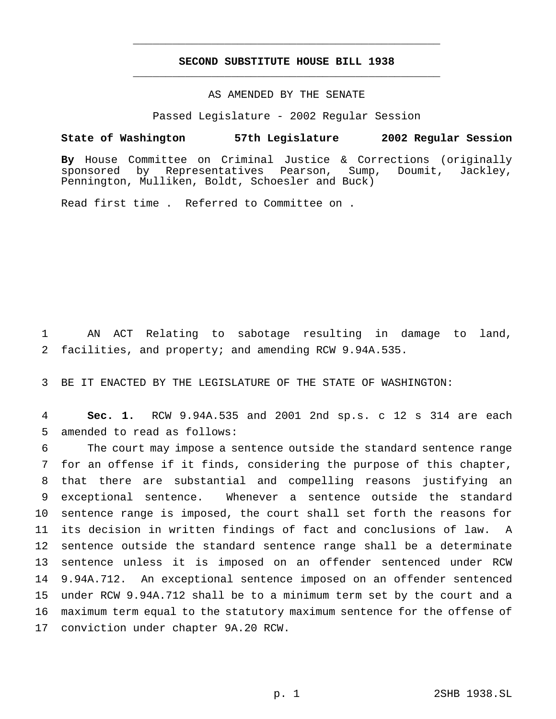## **SECOND SUBSTITUTE HOUSE BILL 1938** \_\_\_\_\_\_\_\_\_\_\_\_\_\_\_\_\_\_\_\_\_\_\_\_\_\_\_\_\_\_\_\_\_\_\_\_\_\_\_\_\_\_\_\_\_\_\_

\_\_\_\_\_\_\_\_\_\_\_\_\_\_\_\_\_\_\_\_\_\_\_\_\_\_\_\_\_\_\_\_\_\_\_\_\_\_\_\_\_\_\_\_\_\_\_

## AS AMENDED BY THE SENATE

Passed Legislature - 2002 Regular Session

#### **State of Washington 57th Legislature 2002 Regular Session**

**By** House Committee on Criminal Justice & Corrections (originally sponsored by Representatives Pearson, Sump, Doumit, Jackley, Pennington, Mulliken, Boldt, Schoesler and Buck)

Read first time . Referred to Committee on .

 AN ACT Relating to sabotage resulting in damage to land, facilities, and property; and amending RCW 9.94A.535.

BE IT ENACTED BY THE LEGISLATURE OF THE STATE OF WASHINGTON:

 **Sec. 1.** RCW 9.94A.535 and 2001 2nd sp.s. c 12 s 314 are each amended to read as follows:

 The court may impose a sentence outside the standard sentence range for an offense if it finds, considering the purpose of this chapter, that there are substantial and compelling reasons justifying an exceptional sentence. Whenever a sentence outside the standard sentence range is imposed, the court shall set forth the reasons for its decision in written findings of fact and conclusions of law. A sentence outside the standard sentence range shall be a determinate sentence unless it is imposed on an offender sentenced under RCW 9.94A.712. An exceptional sentence imposed on an offender sentenced under RCW 9.94A.712 shall be to a minimum term set by the court and a maximum term equal to the statutory maximum sentence for the offense of conviction under chapter 9A.20 RCW.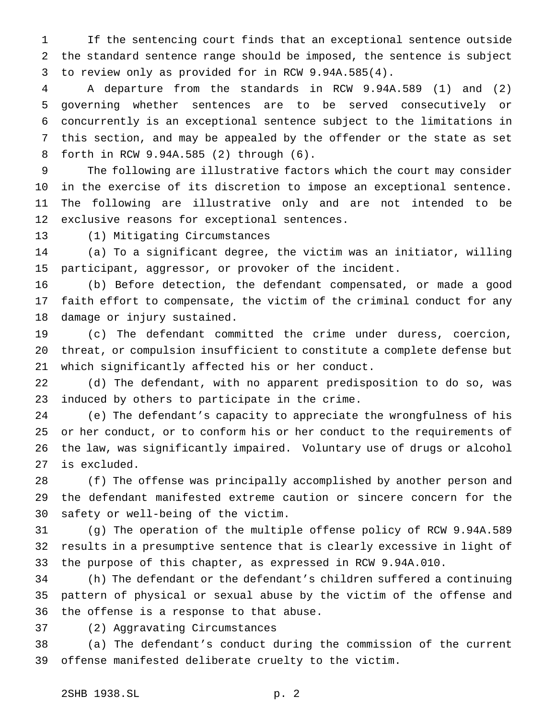If the sentencing court finds that an exceptional sentence outside the standard sentence range should be imposed, the sentence is subject to review only as provided for in RCW 9.94A.585(4).

 A departure from the standards in RCW 9.94A.589 (1) and (2) governing whether sentences are to be served consecutively or concurrently is an exceptional sentence subject to the limitations in this section, and may be appealed by the offender or the state as set forth in RCW 9.94A.585 (2) through (6).

 The following are illustrative factors which the court may consider in the exercise of its discretion to impose an exceptional sentence. The following are illustrative only and are not intended to be exclusive reasons for exceptional sentences.

(1) Mitigating Circumstances

 (a) To a significant degree, the victim was an initiator, willing participant, aggressor, or provoker of the incident.

 (b) Before detection, the defendant compensated, or made a good faith effort to compensate, the victim of the criminal conduct for any damage or injury sustained.

 (c) The defendant committed the crime under duress, coercion, threat, or compulsion insufficient to constitute a complete defense but which significantly affected his or her conduct.

 (d) The defendant, with no apparent predisposition to do so, was induced by others to participate in the crime.

 (e) The defendant's capacity to appreciate the wrongfulness of his or her conduct, or to conform his or her conduct to the requirements of the law, was significantly impaired. Voluntary use of drugs or alcohol is excluded.

 (f) The offense was principally accomplished by another person and the defendant manifested extreme caution or sincere concern for the safety or well-being of the victim.

 (g) The operation of the multiple offense policy of RCW 9.94A.589 results in a presumptive sentence that is clearly excessive in light of the purpose of this chapter, as expressed in RCW 9.94A.010.

 (h) The defendant or the defendant's children suffered a continuing pattern of physical or sexual abuse by the victim of the offense and the offense is a response to that abuse.

(2) Aggravating Circumstances

 (a) The defendant's conduct during the commission of the current offense manifested deliberate cruelty to the victim.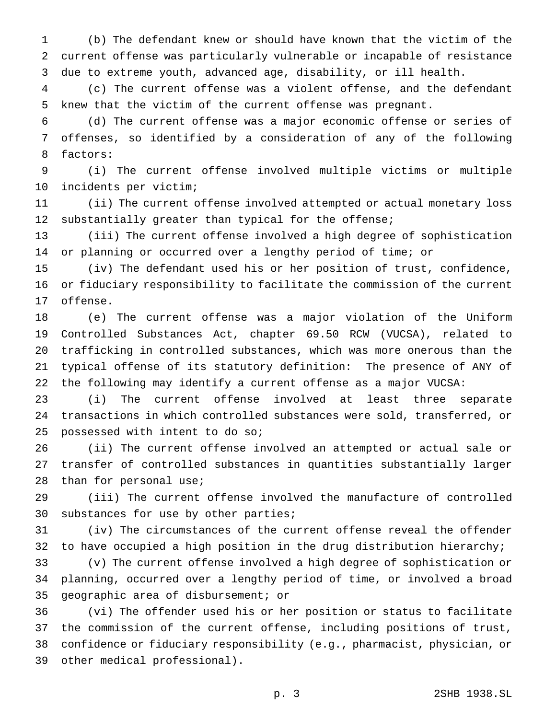(b) The defendant knew or should have known that the victim of the current offense was particularly vulnerable or incapable of resistance due to extreme youth, advanced age, disability, or ill health.

 (c) The current offense was a violent offense, and the defendant knew that the victim of the current offense was pregnant.

 (d) The current offense was a major economic offense or series of offenses, so identified by a consideration of any of the following factors:

 (i) The current offense involved multiple victims or multiple incidents per victim;

 (ii) The current offense involved attempted or actual monetary loss 12 substantially greater than typical for the offense;

 (iii) The current offense involved a high degree of sophistication or planning or occurred over a lengthy period of time; or

 (iv) The defendant used his or her position of trust, confidence, or fiduciary responsibility to facilitate the commission of the current offense.

 (e) The current offense was a major violation of the Uniform Controlled Substances Act, chapter 69.50 RCW (VUCSA), related to trafficking in controlled substances, which was more onerous than the typical offense of its statutory definition: The presence of ANY of the following may identify a current offense as a major VUCSA:

 (i) The current offense involved at least three separate transactions in which controlled substances were sold, transferred, or possessed with intent to do so;

 (ii) The current offense involved an attempted or actual sale or transfer of controlled substances in quantities substantially larger than for personal use;

 (iii) The current offense involved the manufacture of controlled substances for use by other parties;

 (iv) The circumstances of the current offense reveal the offender to have occupied a high position in the drug distribution hierarchy;

 (v) The current offense involved a high degree of sophistication or planning, occurred over a lengthy period of time, or involved a broad geographic area of disbursement; or

 (vi) The offender used his or her position or status to facilitate the commission of the current offense, including positions of trust, confidence or fiduciary responsibility (e.g., pharmacist, physician, or other medical professional).